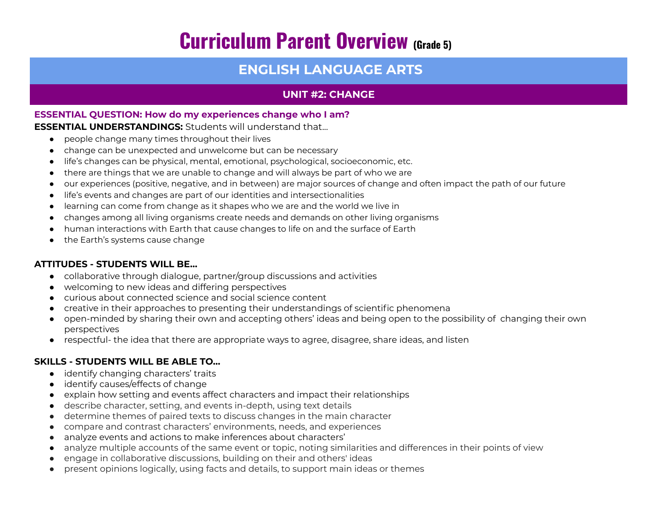# **Curriculum Parent Overview (Grade 5)**

# **ENGLISH LANGUAGE ARTS**

# **UNIT #2: CHANGE**

### **ESSENTIAL QUESTION: How do my experiences change who I am?**

#### **ESSENTIAL UNDERSTANDINGS:** Students will understand that...

- people change many times throughout their lives
- change can be unexpected and unwelcome but can be necessary
- life's changes can be physical, mental, emotional, psychological, socioeconomic, etc.
- there are things that we are unable to change and will always be part of who we are
- our experiences (positive, negative, and in between) are major sources of change and often impact the path of our future
- life's events and changes are part of our identities and intersectionalities
- learning can come from change as it shapes who we are and the world we live in
- changes among all living organisms create needs and demands on other living organisms
- human interactions with Earth that cause changes to life on and the surface of Earth
- the Earth's systems cause change

# **ATTITUDES - STUDENTS WILL BE…**

- collaborative through dialogue, partner/group discussions and activities
- welcoming to new ideas and differing perspectives
- curious about connected science and social science content
- creative in their approaches to presenting their understandings of scientific phenomena
- open-minded by sharing their own and accepting others' ideas and being open to the possibility of changing their own perspectives
- respectful- the idea that there are appropriate ways to agree, disagree, share ideas, and listen

# **SKILLS - STUDENTS WILL BE ABLE TO…**

- identify changing characters' traits
- identify causes/effects of change
- explain how setting and events affect characters and impact their relationships
- describe character, setting, and events in-depth, using text details
- determine themes of paired texts to discuss changes in the main character
- compare and contrast characters' environments, needs, and experiences
- analyze events and actions to make inferences about characters'
- analyze multiple accounts of the same event or topic, noting similarities and differences in their points of view
- engage in collaborative discussions, building on their and others' ideas
- present opinions logically, using facts and details, to support main ideas or themes